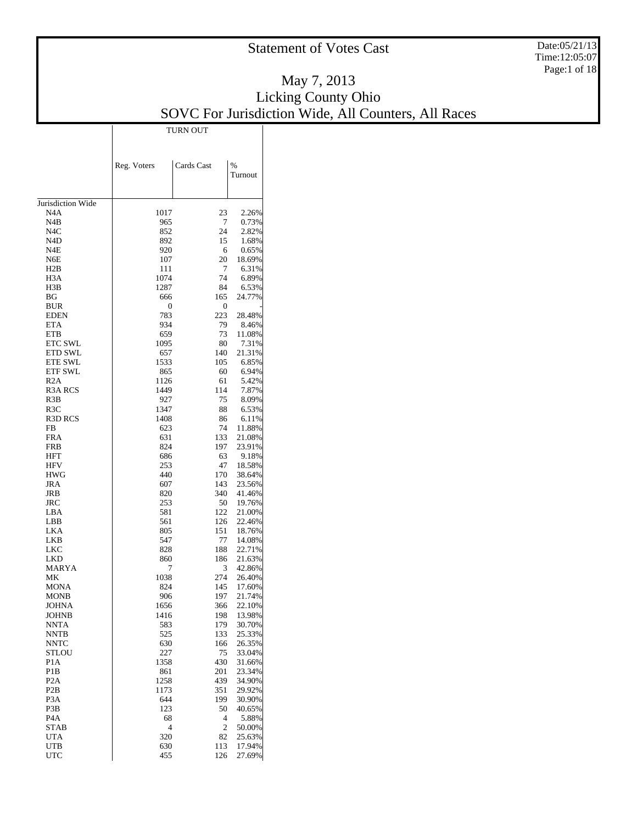Date:05/21/13 Time:12:05:07 Page:1 of 18

#### May 7, 2013 Licking County Ohio SOVC For Jurisdiction Wide, All Counters, All Races TURN OUT

Τ

|                                      | Reg. Voters | Cards Cast | %                |
|--------------------------------------|-------------|------------|------------------|
|                                      |             |            | Turnout          |
|                                      |             |            |                  |
| Jurisdiction Wide<br>N4A             | 1017        | 23         | 2.26%            |
| N4B                                  | 965         | 7          | 0.73%            |
| N <sub>4</sub> C                     | 852         | 24         | 2.82%            |
| N4D                                  | 892         | 15         | 1.68%            |
| N4E                                  | 920         | 6          | 0.65%            |
| N6E                                  | 107         | 20         | 18.69%           |
| H2B                                  | 111         | 7          | 6.31%            |
| H <sub>3</sub> A                     | 1074        | 74         | 6.89%            |
| H3B                                  | 1287        | 84         | 6.53%            |
| ΒG                                   | 666         | 165        | 24.77%           |
| <b>BUR</b>                           | 0           | 0          |                  |
| <b>EDEN</b><br><b>ETA</b>            | 783<br>934  | 223<br>79  | 28.48%           |
| <b>ETB</b>                           | 659         | 73         | 8.46%<br>11.08%  |
| <b>ETC SWL</b>                       | 1095        | 80         | 7.31%            |
| <b>ETD SWL</b>                       | 657         | 140        | 21.31%           |
| <b>ETE SWL</b>                       | 1533        | 105        | 6.85%            |
| <b>ETF SWL</b>                       | 865         | 60         | 6.94%            |
| R2A                                  | 1126        | 61         | 5.42%            |
| <b>R3A RCS</b>                       | 1449        | 114        | 7.87%            |
| R3B                                  | 927         | 75         | 8.09%            |
| R3C                                  | 1347        | 88         | 6.53%            |
| R3D RCS                              | 1408        | 86         | 6.11%            |
| <b>FB</b>                            | 623         | 74         | 11.88%           |
| FRA                                  | 631         | 133        | 21.08%           |
| FRB                                  | 824         | 197        | 23.91%           |
| <b>HFT</b>                           | 686         | 63         | 9.18%            |
| HFV                                  | 253         | 47         | 18.58%           |
| <b>HWG</b>                           | 440         | 170        | 38.64%           |
| JRA                                  | 607         | 143        | 23.56%           |
| JRB                                  | 820         | 340        | 41.46%           |
| JRC<br>LBA                           | 253         | 50<br>122  | 19.76%<br>21.00% |
| LBB                                  | 581<br>561  | 126        | 22.46%           |
| LKA                                  | 805         | 151        | 18.76%           |
| LKB                                  | 547         | 77         | 14.08%           |
| <b>LKC</b>                           | 828         | 188        | 22.71%           |
| LKD                                  | 860         | 186        | 21.63%           |
| MARYA                                | 7           | 3          | 42.86%           |
| МK                                   | 1038        | 274        | 26.40%           |
| <b>MONA</b>                          | 824         | 145        | 17.60%           |
| <b>MONB</b>                          | 906         | 197        | 21.74%           |
| <b>JOHNA</b>                         | 1656        | 366        | 22.10%           |
| <b>JOHNB</b>                         | 1416        | 198        | 13.98%           |
| <b>NNTA</b>                          | 583         | 179        | 30.70%           |
| <b>NNTB</b>                          | 525         | 133        | 25.33%           |
| <b>NNTC</b>                          | 630         | 166        | 26.35%           |
| <b>STLOU</b>                         | 227         | 75         | 33.04%           |
| P <sub>1</sub> A                     | 1358        | 430        | 31.66%           |
| P <sub>1</sub> B<br>P <sub>2</sub> A | 861<br>1258 | 201<br>439 | 23.34%<br>34.90% |
| P <sub>2</sub> B                     | 1173        | 351        | 29.92%           |
| P <sub>3</sub> A                     | 644         | 199        | 30.90%           |
| P3B                                  | 123         | 50         | 40.65%           |
| P <sub>4</sub> A                     | 68          | 4          | 5.88%            |
| <b>STAB</b>                          | 4           | 2          | 50.00%           |
| <b>UTA</b>                           | 320         | 82         | 25.63%           |
| UTB                                  | 630         | 113        | 17.94%           |
| <b>UTC</b>                           | 455         | 126        | 27.69%           |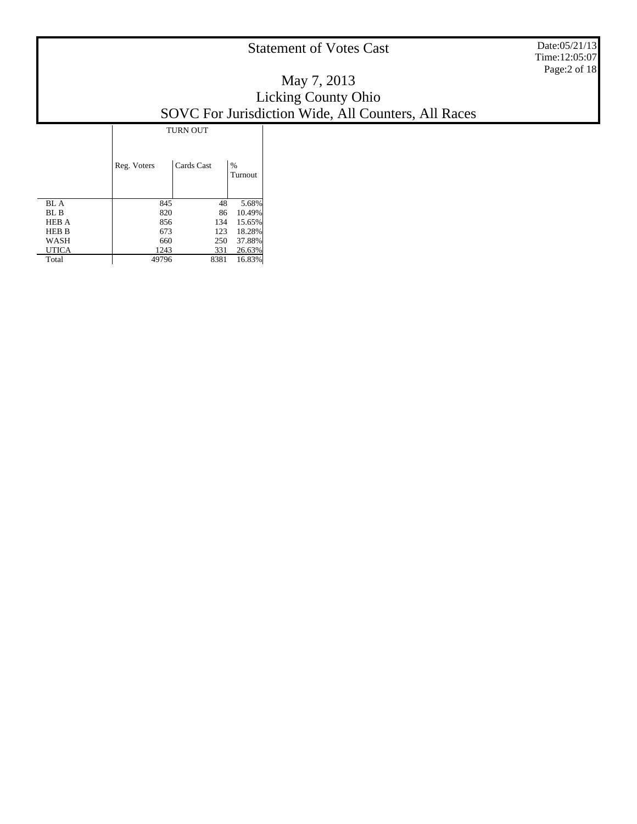Date:05/21/13 Time:12:05:07 Page:2 of 18

### May 7, 2013 Licking County Ohio SOVC For Jurisdiction Wide, All Counters, All Races

|              |             | <b>TURN OUT</b> |              |  |  |  |  |  |  |
|--------------|-------------|-----------------|--------------|--|--|--|--|--|--|
|              | Reg. Voters | Cards Cast      | %<br>Turnout |  |  |  |  |  |  |
| BL A         | 845         | 48              | 5.68%        |  |  |  |  |  |  |
| BL B         | 820         | 86              | 10.49%       |  |  |  |  |  |  |
| <b>HEB A</b> | 856         | 134             | 15.65%       |  |  |  |  |  |  |
| <b>HEB B</b> | 673         | 123             | 18.28%       |  |  |  |  |  |  |
| WASH         | 660         | 250             | 37.88%       |  |  |  |  |  |  |
| UTICA        | 1243        | 331             | 26.63%       |  |  |  |  |  |  |
| Total        | 49796       | 8381            | 16.83%       |  |  |  |  |  |  |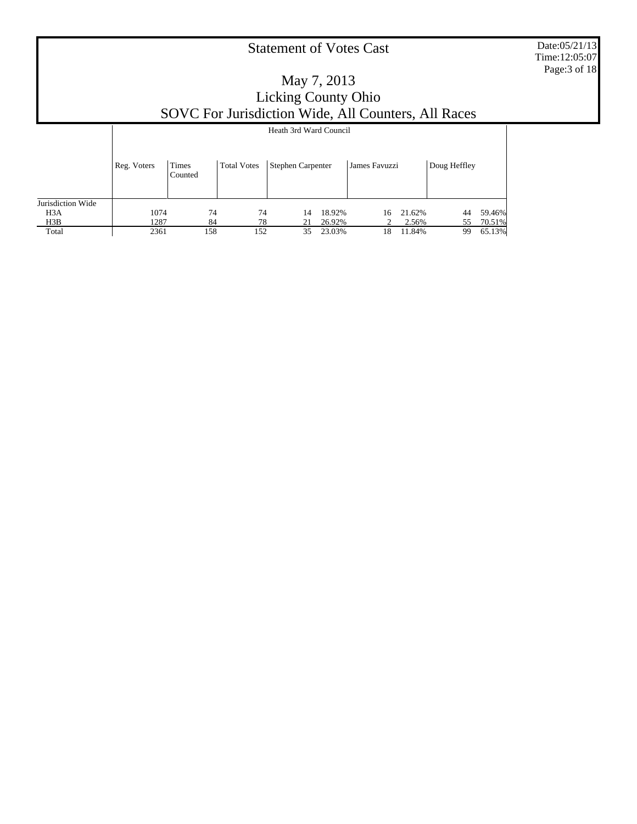Date:05/21/13 Time:12:05:07 Page:3 of 18

|                   |             | Heath 3rd Ward Council  |                    |                   |        |               |        |              |        |  |
|-------------------|-------------|-------------------------|--------------------|-------------------|--------|---------------|--------|--------------|--------|--|
|                   | Reg. Voters | <b>Times</b><br>Counted | <b>Total Votes</b> | Stephen Carpenter |        | James Favuzzi |        | Doug Heffley |        |  |
| Jurisdiction Wide |             |                         |                    |                   |        |               |        |              |        |  |
| H <sub>3</sub> A  | 1074        | 74                      | 74                 | 14                | 18.92% | 16            | 21.62% | 44           | 59.46% |  |
| H3B               | 1287        | 84                      | 78                 | 21                | 26.92% |               | 2.56%  | 55           | 70.51% |  |
| Total             | 2361        | 158                     | 152                | 35                | 23.03% | 18            | 11.84% | 99           | 65.13% |  |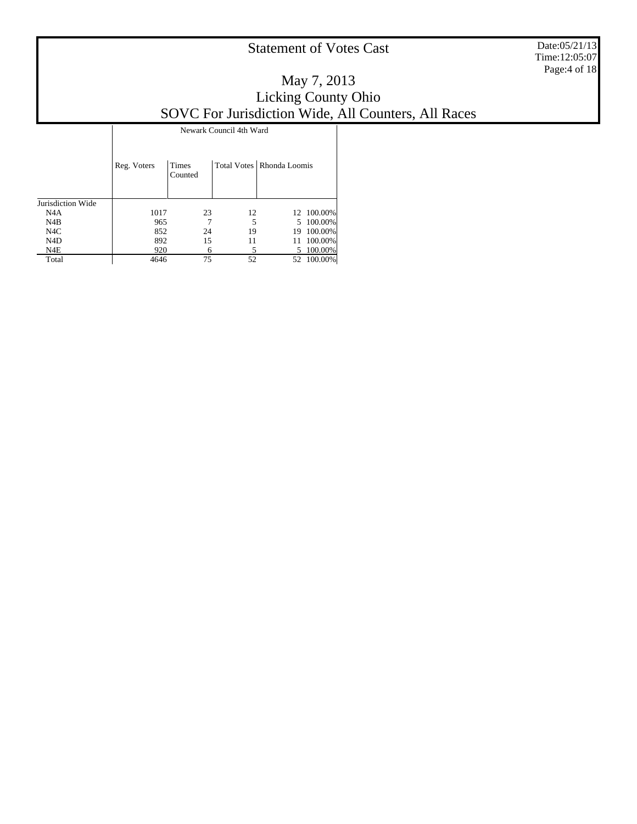Date:05/21/13 Time:12:05:07 Page:4 of 18

### May 7, 2013 Licking County Ohio SOVC For Jurisdiction Wide, All Counters, All Races

|                   | Reg. Voters | <b>Times</b><br>Counted |    | Total Votes   Rhonda Loomis |            |
|-------------------|-------------|-------------------------|----|-----------------------------|------------|
| Jurisdiction Wide |             |                         |    |                             |            |
| N4A               | 1017        | 23                      | 12 |                             | 12 100.00% |
| N4B               | 965         |                         | 5  |                             | 5 100,00%  |
| N <sub>4</sub> C  | 852         | 24                      | 19 | 19                          | 100.00%    |
| N <sub>4</sub> D  | 892         | 15                      | 11 | 11                          | 100.00%    |
| N4E               | 920         |                         |    |                             | 5 100.00%  |
| Total             | 4646        | 75                      | 52 | 52.                         | 100.00%    |

Newark Council 4th Ward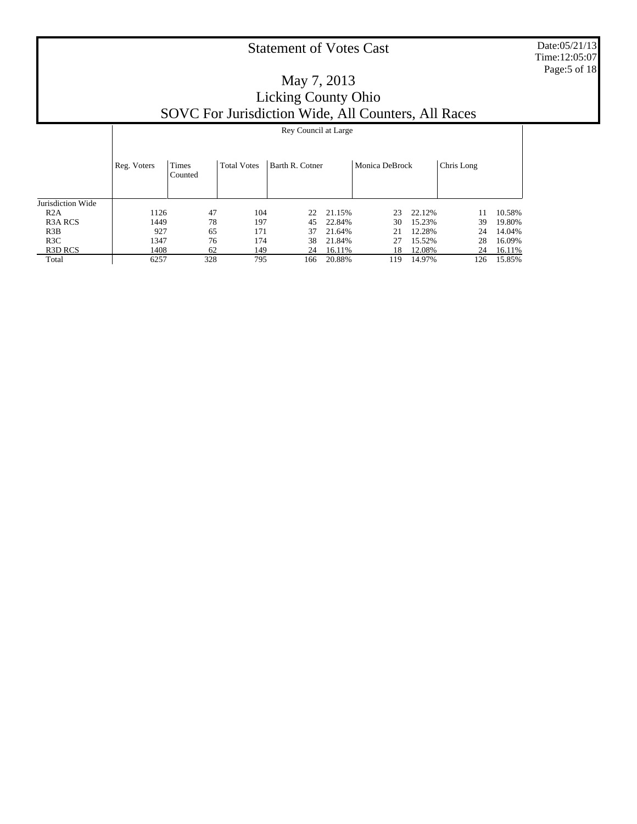Date:05/21/13 Time:12:05:07 Page:5 of 18

Τ

|                                 |             | Rey Council at Large |                    |                 |        |     |        |            |        |  |  |
|---------------------------------|-------------|----------------------|--------------------|-----------------|--------|-----|--------|------------|--------|--|--|
|                                 |             | Monica DeBrock       |                    |                 |        |     |        |            |        |  |  |
|                                 | Reg. Voters | Times<br>Counted     | <b>Total Votes</b> | Barth R. Cotner |        |     |        | Chris Long |        |  |  |
|                                 |             |                      |                    |                 |        |     |        |            |        |  |  |
| Jurisdiction Wide               |             |                      |                    |                 |        |     |        |            |        |  |  |
| R2A                             | 1126        | 47                   | 104                | 22              | 21.15% | 23  | 22.12% | 11         | 10.58% |  |  |
| R <sub>3</sub> A RCS            | 1449        | 78                   | 197                | 45              | 22.84% | 30  | 15.23% | 39         | 19.80% |  |  |
| R3B                             | 927         | 65                   | 171                | 37              | 21.64% | 21  | 12.28% | 24         | 14.04% |  |  |
| R3C                             | 1347        | 76                   | 174                | 38              | 21.84% | 27  | 15.52% | 28         | 16.09% |  |  |
| R <sub>3</sub> D <sub>RCS</sub> | 1408        | 62                   | 149                | 24              | 16.11% | 18  | 12.08% | 24         | 16.11% |  |  |
| Total                           | 6257        | 328                  | 795                | 166             | 20.88% | 119 | 14.97% | 126        | 15.85% |  |  |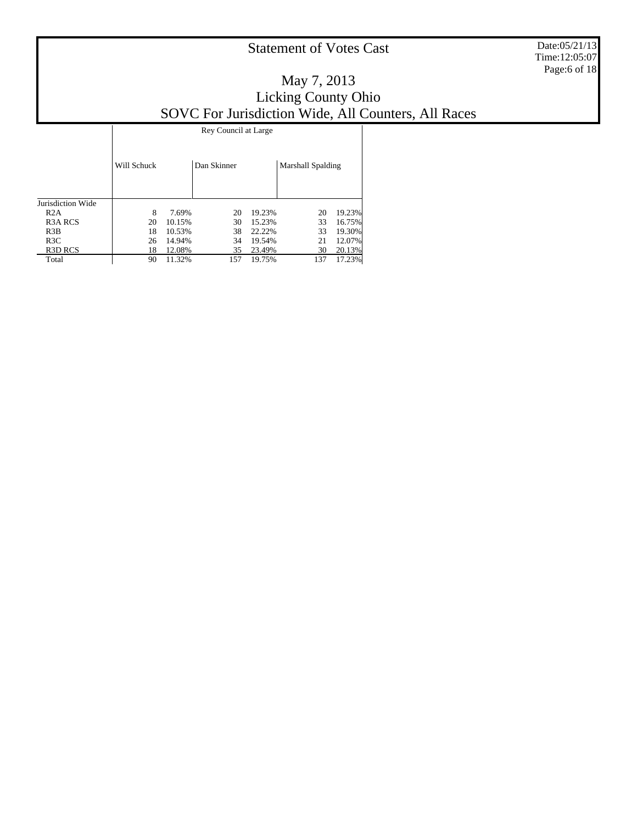Date:05/21/13 Time:12:05:07 Page:6 of 18

|                                 |             | Rey Council at Large |             |        |                   |        |  |  |  |  |  |
|---------------------------------|-------------|----------------------|-------------|--------|-------------------|--------|--|--|--|--|--|
|                                 | Will Schuck |                      | Dan Skinner |        | Marshall Spalding |        |  |  |  |  |  |
| Jurisdiction Wide               |             |                      |             |        |                   |        |  |  |  |  |  |
| R2A                             | 8           | 7.69%                | 20          | 19.23% | 20                | 19.23% |  |  |  |  |  |
| R <sub>3</sub> A RCS            | 20          | 10.15%               | 30          | 15.23% | 33                | 16.75% |  |  |  |  |  |
| R3B                             | 18          | 10.53%               | 38          | 22.22% | 33                | 19.30% |  |  |  |  |  |
| R3C                             | 26          | 14.94%               | 34          | 19.54% | 21                | 12.07% |  |  |  |  |  |
| R <sub>3</sub> D <sub>RCS</sub> | 18          | 12.08%               | 35          | 23.49% | 30                | 20.13% |  |  |  |  |  |
| Total                           | 90          | 11.32%               | 157         | 19.75% | 137               | 17.23% |  |  |  |  |  |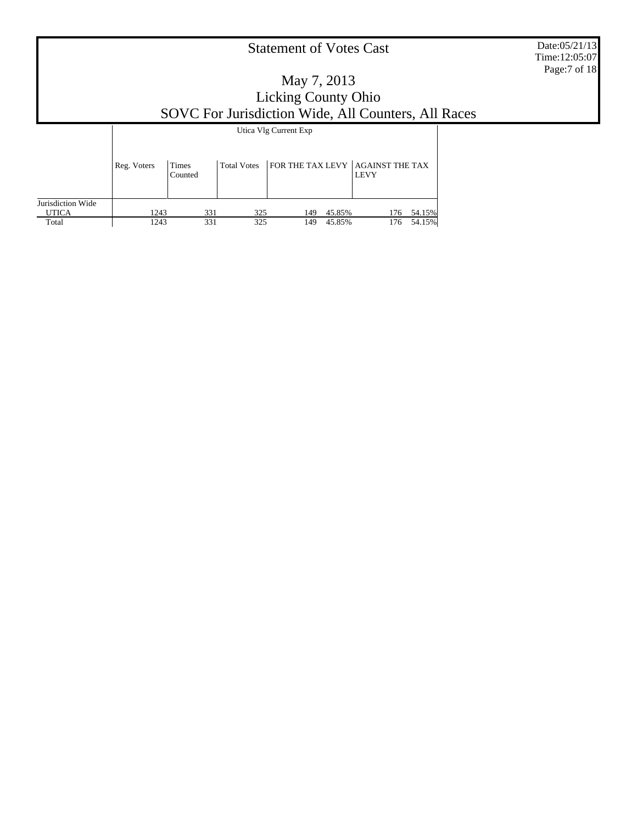Date:05/21/13 Time:12:05:07 Page:7 of 18

### May 7, 2013 Licking County Ohio SOVC For Jurisdiction Wide, All Counters, All Races

Τ

|                                   |             | Utica Vlg Current Exp   |                    |                                  |        |             |               |  |  |  |
|-----------------------------------|-------------|-------------------------|--------------------|----------------------------------|--------|-------------|---------------|--|--|--|
|                                   | Reg. Voters | <b>Times</b><br>Counted | <b>Total Votes</b> | FOR THE TAX LEVY AGAINST THE TAX |        | <b>LEVY</b> |               |  |  |  |
| Jurisdiction Wide<br><b>UTICA</b> | 1243        | 331                     | 325                | 149                              | 45.85% |             | 54.15%<br>176 |  |  |  |
| Total                             | 1243        | 331                     | 325                | 149                              | 45.85% |             | 54.15%<br>176 |  |  |  |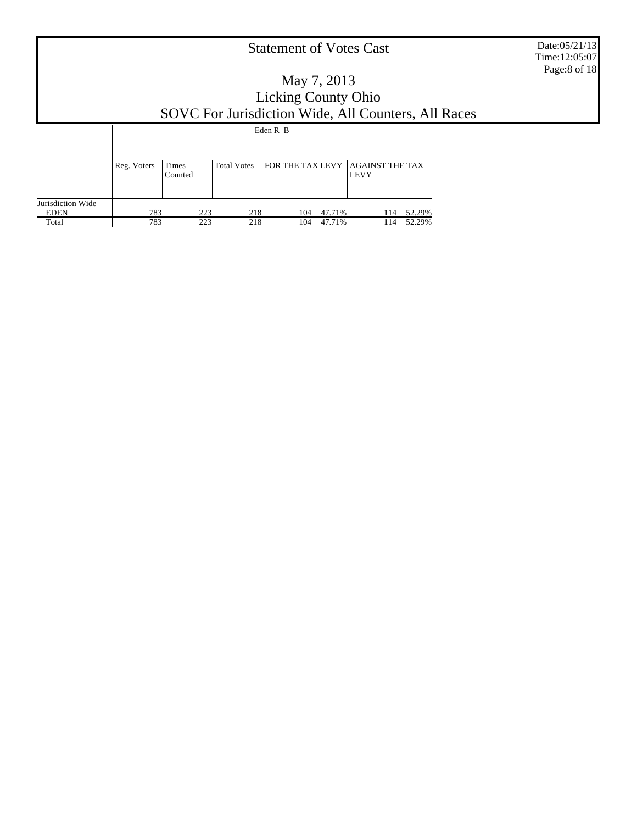Date:05/21/13 Time:12:05:07 Page:8 of 18

### May 7, 2013 Licking County Ohio SOVC For Jurisdiction Wide, All Counters, All Races

Τ

|                                  |             | Eden R B         |             |                                  |        |             |               |  |  |  |
|----------------------------------|-------------|------------------|-------------|----------------------------------|--------|-------------|---------------|--|--|--|
|                                  | Reg. Voters | Times<br>Counted | Total Votes | FOR THE TAX LEVY AGAINST THE TAX |        | <b>LEVY</b> |               |  |  |  |
| Jurisdiction Wide<br><b>EDEN</b> | 783         | 223              | 218         | 104                              | 47.71% |             | 52.29%<br>114 |  |  |  |
| Total                            | 783         | 223              | 218         | 104                              | 47.71% | 114         | 52.29%        |  |  |  |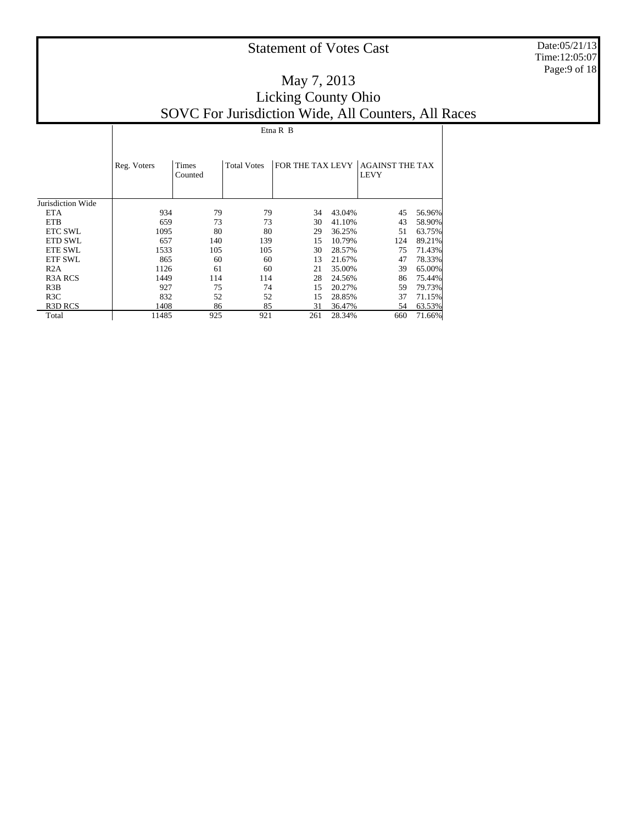Date:05/21/13 Time:12:05:07 Page:9 of 18

| $\sim$<br>a. |  |
|--------------|--|

|                      | Reg. Voters | <b>Times</b><br>Counted | <b>Total Votes</b> | FOR THE TAX LEVY |        | <b>AGAINST THE TAX</b><br><b>LEVY</b> |        |
|----------------------|-------------|-------------------------|--------------------|------------------|--------|---------------------------------------|--------|
| Jurisdiction Wide    |             |                         |                    |                  |        |                                       |        |
| <b>ETA</b>           | 934         | 79                      | 79                 | 34               | 43.04% | 45                                    | 56.96% |
| <b>ETB</b>           | 659         | 73                      | 73                 | 30               | 41.10% | 43                                    | 58.90% |
| <b>ETC SWL</b>       | 1095        | 80                      | 80                 | 29               | 36.25% | 51                                    | 63.75% |
| <b>ETD SWL</b>       | 657         | 140                     | 139                | 15               | 10.79% | 124                                   | 89.21% |
| <b>ETE SWL</b>       | 1533        | 105                     | 105                | 30               | 28.57% | 75                                    | 71.43% |
| <b>ETF SWL</b>       | 865         | 60                      | 60                 | 13               | 21.67% | 47                                    | 78.33% |
| R2A                  | 1126        | 61                      | 60                 | 21               | 35.00% | 39                                    | 65.00% |
| R <sub>3</sub> A RCS | 1449        | 114                     | 114                | 28               | 24.56% | 86                                    | 75.44% |
| R3B                  | 927         | 75                      | 74                 | 15               | 20.27% | 59                                    | 79.73% |
| R3C                  | 832         | 52                      | 52                 | 15               | 28.85% | 37                                    | 71.15% |
| <b>R3D RCS</b>       | 1408        | 86                      | 85                 | 31               | 36.47% | 54                                    | 63.53% |
| Total                | 11485       | 925                     | 921                | 261              | 28.34% | 660                                   | 71.66% |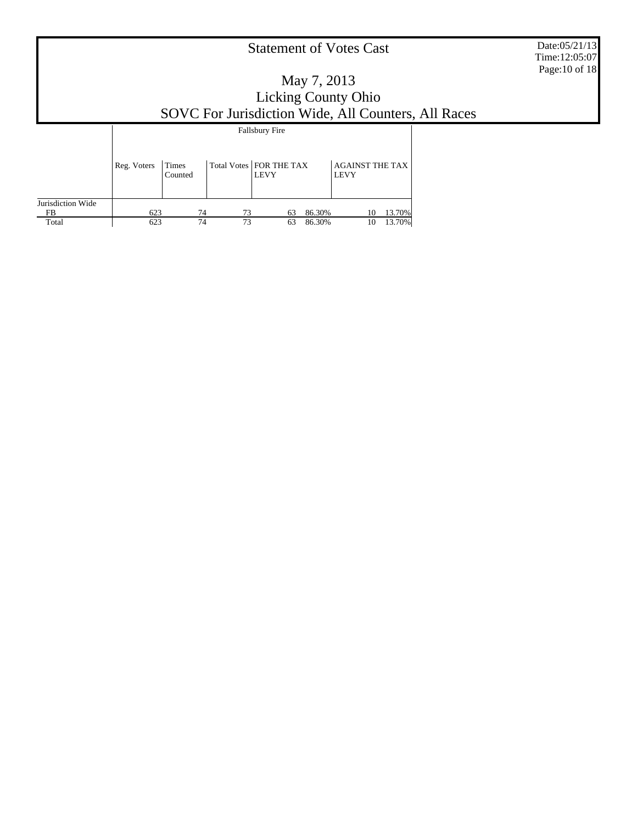Date:05/21/13 Time:12:05:07 Page:10 of 18

|                   | <b>Fallsbury Fire</b> |                  |    |                                          |        |                                       |        |  |
|-------------------|-----------------------|------------------|----|------------------------------------------|--------|---------------------------------------|--------|--|
|                   | Reg. Voters           | Times<br>Counted |    | Total Votes   FOR THE TAX<br><b>LEVY</b> |        | <b>AGAINST THE TAX</b><br><b>LEVY</b> |        |  |
| Jurisdiction Wide |                       |                  |    |                                          |        |                                       |        |  |
| FB                | 623                   | 74               | 73 | 63                                       | 86.30% | 10                                    | 13.70% |  |
| Total             | 623                   | 74               | 73 | 63                                       | 86.30% | 10                                    | 13.70% |  |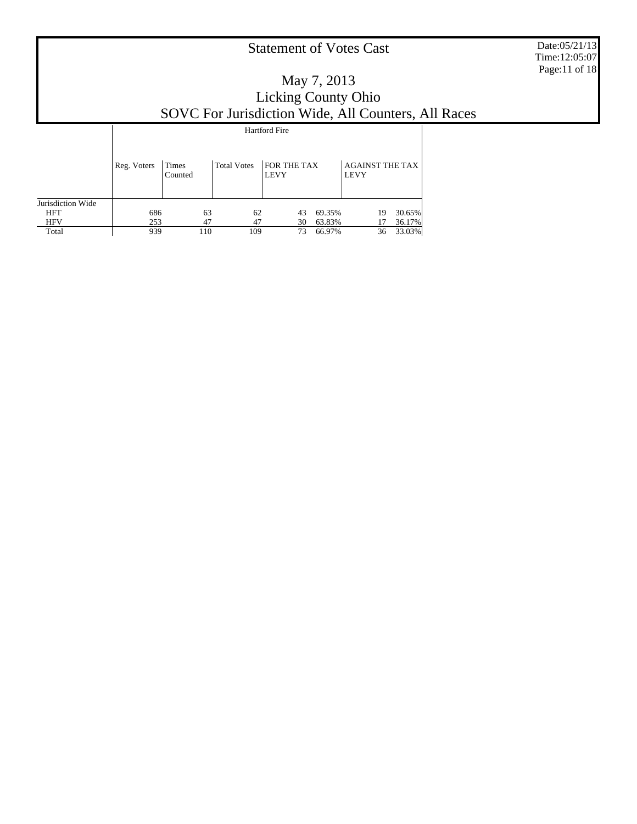Date:05/21/13 Time:12:05:07 Page:11 of 18

|                   | <b>Hartford Fire</b> |                  |                    |                            |        |                                       |        |  |  |
|-------------------|----------------------|------------------|--------------------|----------------------------|--------|---------------------------------------|--------|--|--|
|                   |                      |                  |                    |                            |        |                                       |        |  |  |
|                   | Reg. Voters          | Times<br>Counted | <b>Total Votes</b> | FOR THE TAX<br><b>LEVY</b> |        | <b>AGAINST THE TAX</b><br><b>LEVY</b> |        |  |  |
| Jurisdiction Wide |                      |                  |                    |                            |        |                                       |        |  |  |
| <b>HFT</b>        | 686                  | 63               | 62                 | 43                         | 69.35% | 19                                    | 30.65% |  |  |
| <b>HFV</b>        | 253                  | 47               | 47                 | 30                         | 63.83% | 17                                    | 36.17% |  |  |
| Total             | 939                  | 110              | 109                | 73                         | 66.97% | 36                                    | 33.03% |  |  |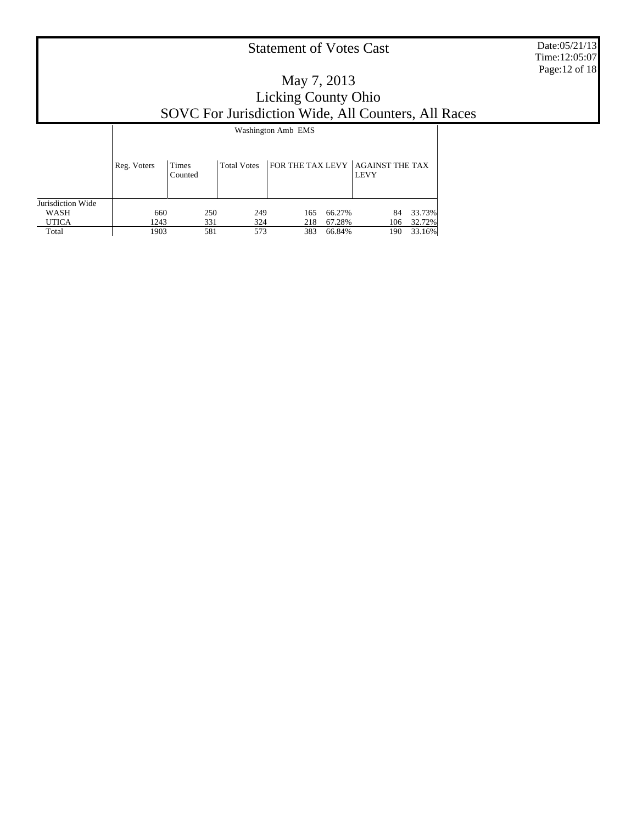Date:05/21/13 Time:12:05:07 Page:12 of 18

|                   | Washington Amb EMS |                         |                    |     |        |                                                 |        |  |  |
|-------------------|--------------------|-------------------------|--------------------|-----|--------|-------------------------------------------------|--------|--|--|
|                   | Reg. Voters        | <b>Times</b><br>Counted | <b>Total Votes</b> |     |        | FOR THE TAX LEVY AGAINST THE TAX<br><b>LEVY</b> |        |  |  |
| Jurisdiction Wide |                    |                         |                    |     |        |                                                 |        |  |  |
| WASH              | 660                | 250                     | 249                | 165 | 66.27% | 84                                              | 33.73% |  |  |
| <b>UTICA</b>      | 1243               | 331                     | 324                | 218 | 67.28% | 106                                             | 32.72% |  |  |
| Total             | 1903               | 581                     | 573                | 383 | 66.84% | 190                                             | 33.16% |  |  |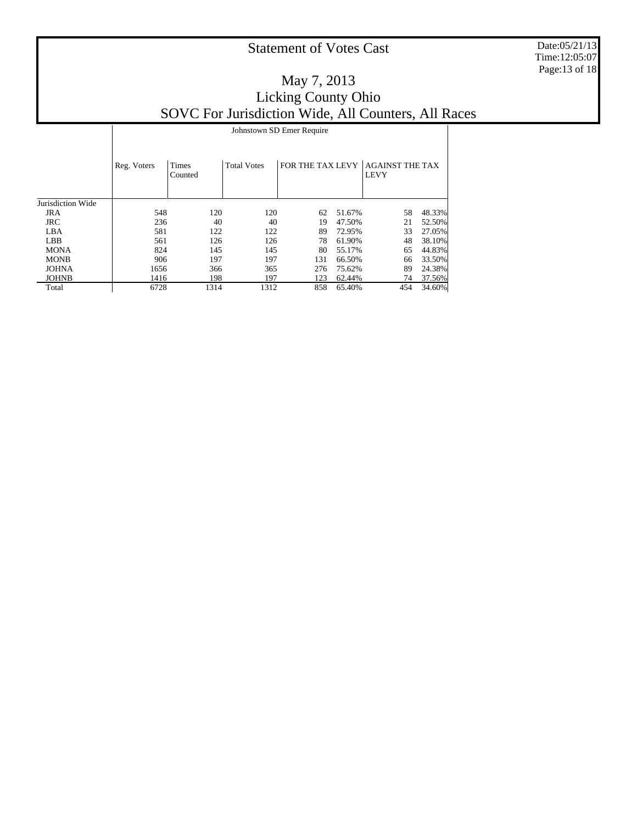Date:05/21/13 Time:12:05:07 Page:13 of 18

### May 7, 2013 Licking County Ohio SOVC For Jurisdiction Wide, All Counters, All Races

|                   |             | Johnstown SD Emer Require |                    |     |        |                                                 |        |  |  |  |  |
|-------------------|-------------|---------------------------|--------------------|-----|--------|-------------------------------------------------|--------|--|--|--|--|
|                   | Reg. Voters | <b>Times</b><br>Counted   | <b>Total Votes</b> |     |        | FOR THE TAX LEVY AGAINST THE TAX<br><b>LEVY</b> |        |  |  |  |  |
| Jurisdiction Wide |             |                           |                    |     |        |                                                 |        |  |  |  |  |
| <b>JRA</b>        | 548         | 120                       | 120                | 62  | 51.67% | 58                                              | 48.33% |  |  |  |  |
| <b>JRC</b>        | 236         | 40                        | 40                 | 19  | 47.50% | 21                                              | 52.50% |  |  |  |  |
| LBA               | 581         | 122                       | 122                | 89  | 72.95% | 33                                              | 27.05% |  |  |  |  |
| <b>LBB</b>        | 561         | 126                       | 126                | 78  | 61.90% | 48                                              | 38.10% |  |  |  |  |
| <b>MONA</b>       | 824         | 145                       | 145                | 80  | 55.17% | 65                                              | 44.83% |  |  |  |  |
| <b>MONB</b>       | 906         | 197                       | 197                | 131 | 66.50% | 66                                              | 33.50% |  |  |  |  |
| <b>JOHNA</b>      | 1656        | 366                       | 365                | 276 | 75.62% | 89                                              | 24.38% |  |  |  |  |
| <b>JOHNB</b>      | 1416        | 198                       | 197                | 123 | 62.44% | 74                                              | 37.56% |  |  |  |  |
| Total             | 6728        | 1314                      | 1312               | 858 | 65.40% | 454                                             | 34.60% |  |  |  |  |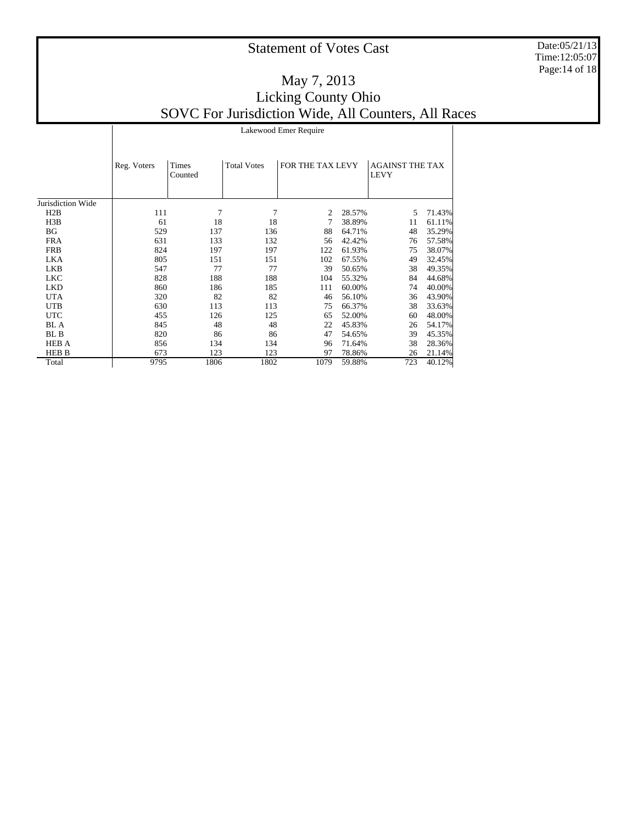Date:05/21/13 Time:12:05:07 Page:14 of 18

 $\overline{\phantom{a}}$ 

#### May 7, 2013 Licking County Ohio SOVC For Jurisdiction Wide, All Counters, All Races Lakewood Emer Require

|                   | Reg. Voters | Times<br>Counted | <b>Total Votes</b> | FOR THE TAX LEVY |        | <b>AGAINST THE TAX</b><br><b>LEVY</b> |        |
|-------------------|-------------|------------------|--------------------|------------------|--------|---------------------------------------|--------|
|                   |             |                  |                    |                  |        |                                       |        |
| Jurisdiction Wide |             |                  |                    |                  |        |                                       |        |
| H2B               | 111         | 7                | 7                  | 2                | 28.57% | 5.                                    | 71.43% |
| H3B               | 61          | 18               | 18                 |                  | 38.89% | 11                                    | 61.11% |
| BG                | 529         | 137              | 136                | 88               | 64.71% | 48                                    | 35.29% |
| <b>FRA</b>        | 631         | 133              | 132                | 56               | 42.42% | 76                                    | 57.58% |
| <b>FRB</b>        | 824         | 197              | 197                | 122              | 61.93% | 75                                    | 38.07% |
| LKA               | 805         | 151              | 151                | 102              | 67.55% | 49                                    | 32.45% |
| LKB               | 547         | 77               | 77                 | 39               | 50.65% | 38                                    | 49.35% |
| <b>LKC</b>        | 828         | 188              | 188                | 104              | 55.32% | 84                                    | 44.68% |
| <b>LKD</b>        | 860         | 186              | 185                | 111              | 60.00% | 74                                    | 40.00% |
| <b>UTA</b>        | 320         | 82               | 82                 | 46               | 56.10% | 36                                    | 43.90% |
| UTB               | 630         | 113              | 113                | 75               | 66.37% | 38                                    | 33.63% |
| UTC               | 455         | 126              | 125                | 65               | 52.00% | 60                                    | 48.00% |
| BL A              | 845         | 48               | 48                 | 22               | 45.83% | 26                                    | 54.17% |
| BL B              | 820         | 86               | 86                 | 47               | 54.65% | 39                                    | 45.35% |
| <b>HEB A</b>      | 856         | 134              | 134                | 96               | 71.64% | 38                                    | 28.36% |
| <b>HEB B</b>      | 673         | 123              | 123                | 97               | 78.86% | 26                                    | 21.14% |
| Total             | 9795        | 1806             | 1802               | 1079             | 59.88% | 723                                   | 40.12% |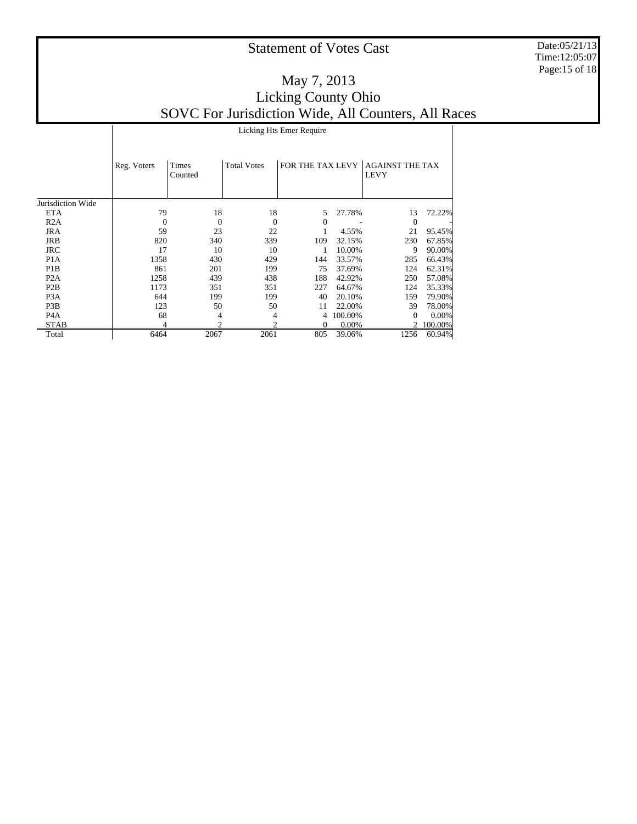Date:05/21/13 Time:12:05:07 Page:15 of 18

#### May 7, 2013 Licking County Ohio SOVC For Jurisdiction Wide, All Counters, All Races Licking Hts Emer Require

|                   | Reg. Voters | Times<br>Counted | <b>Total Votes</b> | FOR THE TAX LEVY |         | <b>AGAINST THE TAX</b><br><b>LEVY</b> |         |
|-------------------|-------------|------------------|--------------------|------------------|---------|---------------------------------------|---------|
| Jurisdiction Wide |             |                  |                    |                  |         |                                       |         |
| <b>ETA</b>        | 79          | 18               | 18                 | 5                | 27.78%  | 13                                    | 72.22%  |
| R2A               | $\theta$    | $\Omega$         | $\overline{0}$     | $\Omega$         |         | $\Omega$                              |         |
| <b>JRA</b>        | 59          | 23               | 22                 |                  | 4.55%   | 21                                    | 95.45%  |
| JRB               | 820         | 340              | 339                | 109              | 32.15%  | 230                                   | 67.85%  |
| <b>JRC</b>        | 17          | 10               | 10                 |                  | 10.00%  | 9                                     | 90.00%  |
| P <sub>1</sub> A  | 1358        | 430              | 429                | 144              | 33.57%  | 285                                   | 66.43%  |
| P <sub>1</sub> B  | 861         | 201              | 199                | 75               | 37.69%  | 124                                   | 62.31%  |
| P <sub>2</sub> A  | 1258        | 439              | 438                | 188              | 42.92%  | 250                                   | 57.08%  |
| P2B               | 1173        | 351              | 351                | 227              | 64.67%  | 124                                   | 35.33%  |
| P <sub>3</sub> A  | 644         | 199              | 199                | 40               | 20.10%  | 159                                   | 79.90%  |
| P <sub>3</sub> B  | 123         | 50               | 50                 | 11               | 22.00%  | 39                                    | 78.00%  |
| P <sub>4</sub> A  | 68          | 4                | 4                  | 4                | 100.00% | $\Omega$                              | 0.00%   |
| <b>STAB</b>       | 4           | $\mathcal{D}$    | $\mathfrak{D}$     | 0                | 0.00%   | $\mathcal{D}_{\mathcal{L}}$           | 100.00% |
| Total             | 6464        | 2067             | 2061               | 805              | 39.06%  | 1256                                  | 60.94%  |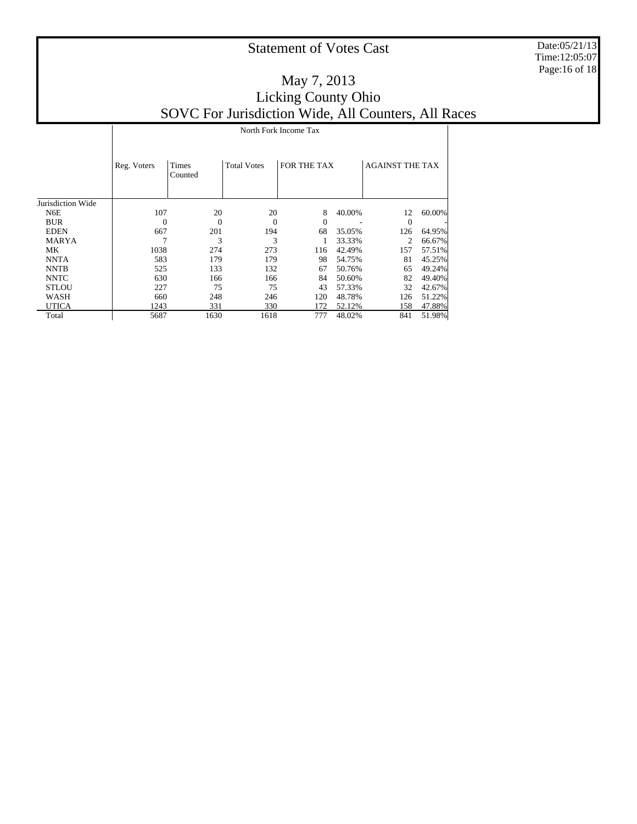Date:05/21/13 Time:12:05:07 Page:16 of 18

|                   |             | North Fork Income Tax |                    |             |        |                        |        |  |  |  |
|-------------------|-------------|-----------------------|--------------------|-------------|--------|------------------------|--------|--|--|--|
|                   | Reg. Voters | Times<br>Counted      | <b>Total Votes</b> | FOR THE TAX |        | <b>AGAINST THE TAX</b> |        |  |  |  |
| Jurisdiction Wide |             |                       |                    |             |        |                        |        |  |  |  |
| N <sub>6</sub> E  | 107         | 20                    | 20                 | 8           | 40.00% | 12                     | 60.00% |  |  |  |
| <b>BUR</b>        | $\Omega$    | 0                     | $\Omega$           | $\Omega$    |        | $\Omega$               |        |  |  |  |
| <b>EDEN</b>       | 667         | 201                   | 194                | 68          | 35.05% | 126                    | 64.95% |  |  |  |
| <b>MARYA</b>      |             | 3                     | 3                  |             | 33.33% | $\overline{c}$         | 66.67% |  |  |  |
| MK                | 1038        | 274                   | 273                | 116         | 42.49% | 157                    | 57.51% |  |  |  |
| <b>NNTA</b>       | 583         | 179                   | 179                | 98          | 54.75% | 81                     | 45.25% |  |  |  |
| <b>NNTB</b>       | 525         | 133                   | 132                | 67          | 50.76% | 65                     | 49.24% |  |  |  |
| <b>NNTC</b>       | 630         | 166                   | 166                | 84          | 50.60% | 82                     | 49.40% |  |  |  |
| <b>STLOU</b>      | 227         | 75                    | 75                 | 43          | 57.33% | 32                     | 42.67% |  |  |  |
| WASH              | 660         | 248                   | 246                | 120         | 48.78% | 126                    | 51.22% |  |  |  |
| <b>UTICA</b>      | 1243        | 331                   | 330                | 172         | 52.12% | 158                    | 47.88% |  |  |  |
| Total             | 5687        | 1630                  | 1618               | 777         | 48.02% | 841                    | 51.98% |  |  |  |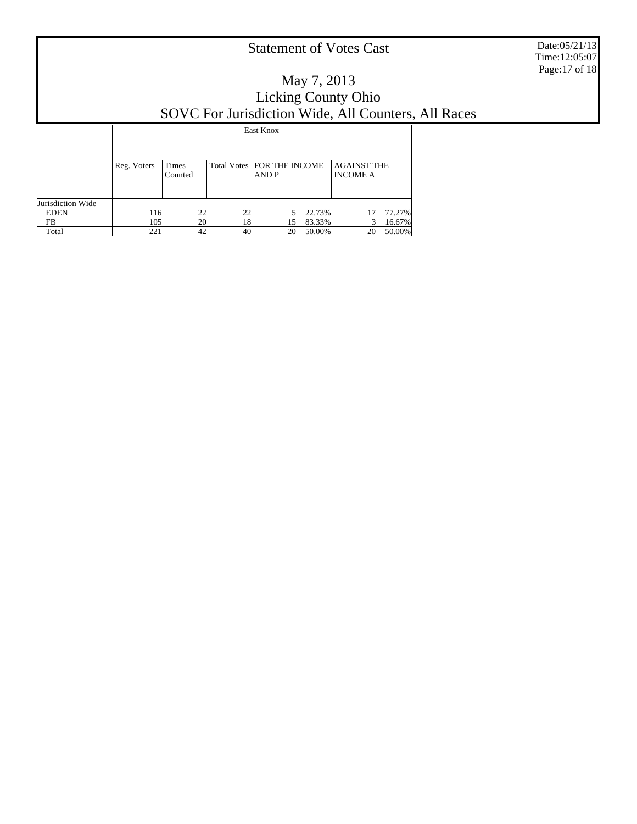Date:05/21/13 Time:12:05:07 Page:17 of 18

### May 7, 2013 Licking County Ohio SOVC For Jurisdiction Wide, All Counters, All Races

|                   | East Knox   |                  |    |                                       |        |                                       |        |  |  |
|-------------------|-------------|------------------|----|---------------------------------------|--------|---------------------------------------|--------|--|--|
|                   | Reg. Voters | Times<br>Counted |    | Total Votes   FOR THE INCOME<br>AND P |        | <b>AGAINST THE</b><br><b>INCOME A</b> |        |  |  |
| Jurisdiction Wide |             |                  |    |                                       |        |                                       |        |  |  |
| <b>EDEN</b>       | 116         | 22               | 22 | 5                                     | 22.73% | 17                                    | 77.27% |  |  |
| FB                | 105         | 20               | 18 | 15                                    | 83.33% | 3                                     | 16.67% |  |  |
| Total             | 221         | 42               | 40 | 20                                    | 50.00% | 20                                    | 50.00% |  |  |